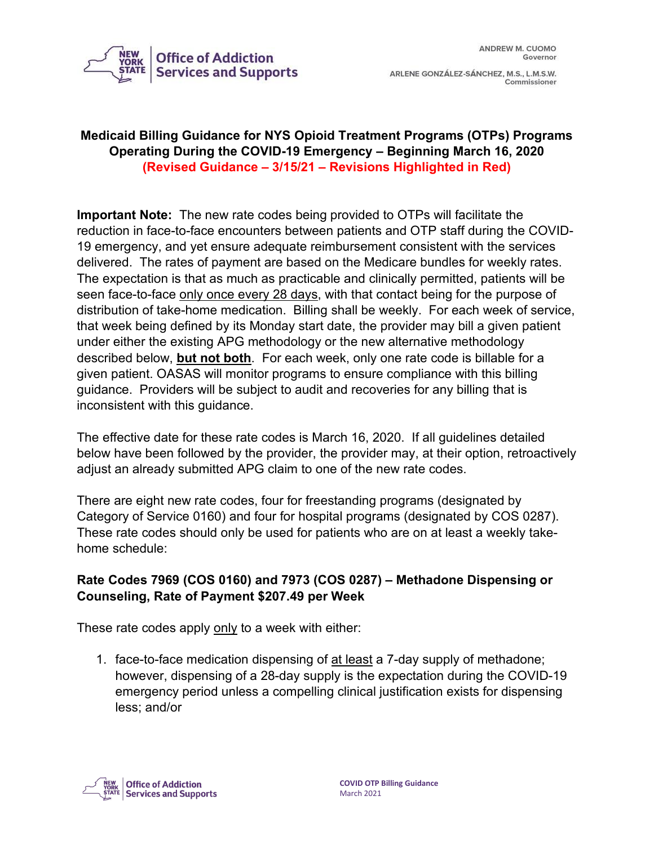

ARLENE GONZÁLEZ-SÁNCHEZ, M.S., L.M.S.W. Commissioner

#### **Medicaid Billing Guidance for NYS Opioid Treatment Programs (OTPs) Programs Operating During the COVID-19 Emergency – Beginning March 16, 2020 (Revised Guidance – 3/15/21 – Revisions Highlighted in Red)**

**Important Note:** The new rate codes being provided to OTPs will facilitate the reduction in face-to-face encounters between patients and OTP staff during the COVID-19 emergency, and yet ensure adequate reimbursement consistent with the services delivered. The rates of payment are based on the Medicare bundles for weekly rates. The expectation is that as much as practicable and clinically permitted, patients will be seen face-to-face only once every 28 days, with that contact being for the purpose of distribution of take-home medication. Billing shall be weekly. For each week of service, that week being defined by its Monday start date, the provider may bill a given patient under either the existing APG methodology or the new alternative methodology described below, **but not both**. For each week, only one rate code is billable for a given patient. OASAS will monitor programs to ensure compliance with this billing guidance. Providers will be subject to audit and recoveries for any billing that is inconsistent with this guidance.

The effective date for these rate codes is March 16, 2020. If all guidelines detailed below have been followed by the provider, the provider may, at their option, retroactively adjust an already submitted APG claim to one of the new rate codes.

There are eight new rate codes, four for freestanding programs (designated by Category of Service 0160) and four for hospital programs (designated by COS 0287). These rate codes should only be used for patients who are on at least a weekly takehome schedule:

#### **Rate Codes 7969 (COS 0160) and 7973 (COS 0287) – Methadone Dispensing or Counseling, Rate of Payment \$207.49 per Week**

These rate codes apply only to a week with either:

1. face-to-face medication dispensing of at least a 7-day supply of methadone; however, dispensing of a 28-day supply is the expectation during the COVID-19 emergency period unless a compelling clinical justification exists for dispensing less; and/or

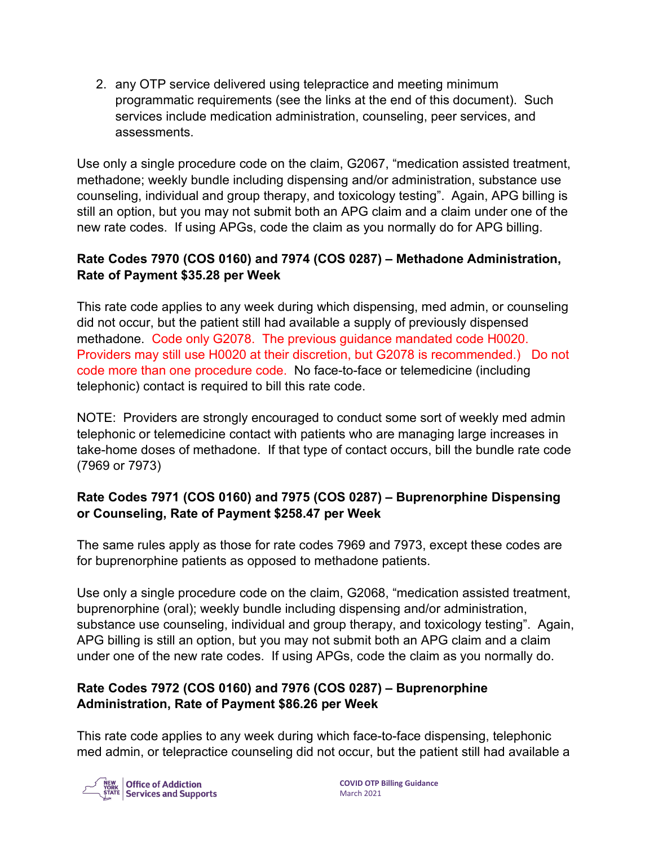2. any OTP service delivered using telepractice and meeting minimum programmatic requirements (see the links at the end of this document). Such services include medication administration, counseling, peer services, and assessments.

Use only a single procedure code on the claim, G2067, "medication assisted treatment, methadone; weekly bundle including dispensing and/or administration, substance use counseling, individual and group therapy, and toxicology testing". Again, APG billing is still an option, but you may not submit both an APG claim and a claim under one of the new rate codes. If using APGs, code the claim as you normally do for APG billing.

## **Rate Codes 7970 (COS 0160) and 7974 (COS 0287) – Methadone Administration, Rate of Payment \$35.28 per Week**

This rate code applies to any week during which dispensing, med admin, or counseling did not occur, but the patient still had available a supply of previously dispensed methadone. Code only G2078. The previous guidance mandated code H0020. Providers may still use H0020 at their discretion, but G2078 is recommended.) Do not code more than one procedure code. No face-to-face or telemedicine (including telephonic) contact is required to bill this rate code.

NOTE: Providers are strongly encouraged to conduct some sort of weekly med admin telephonic or telemedicine contact with patients who are managing large increases in take-home doses of methadone. If that type of contact occurs, bill the bundle rate code (7969 or 7973)

# **Rate Codes 7971 (COS 0160) and 7975 (COS 0287) – Buprenorphine Dispensing or Counseling, Rate of Payment \$258.47 per Week**

The same rules apply as those for rate codes 7969 and 7973, except these codes are for buprenorphine patients as opposed to methadone patients.

Use only a single procedure code on the claim, G2068, "medication assisted treatment, buprenorphine (oral); weekly bundle including dispensing and/or administration, substance use counseling, individual and group therapy, and toxicology testing". Again, APG billing is still an option, but you may not submit both an APG claim and a claim under one of the new rate codes. If using APGs, code the claim as you normally do.

### **Rate Codes 7972 (COS 0160) and 7976 (COS 0287) – Buprenorphine Administration, Rate of Payment \$86.26 per Week**

This rate code applies to any week during which face-to-face dispensing, telephonic med admin, or telepractice counseling did not occur, but the patient still had available a

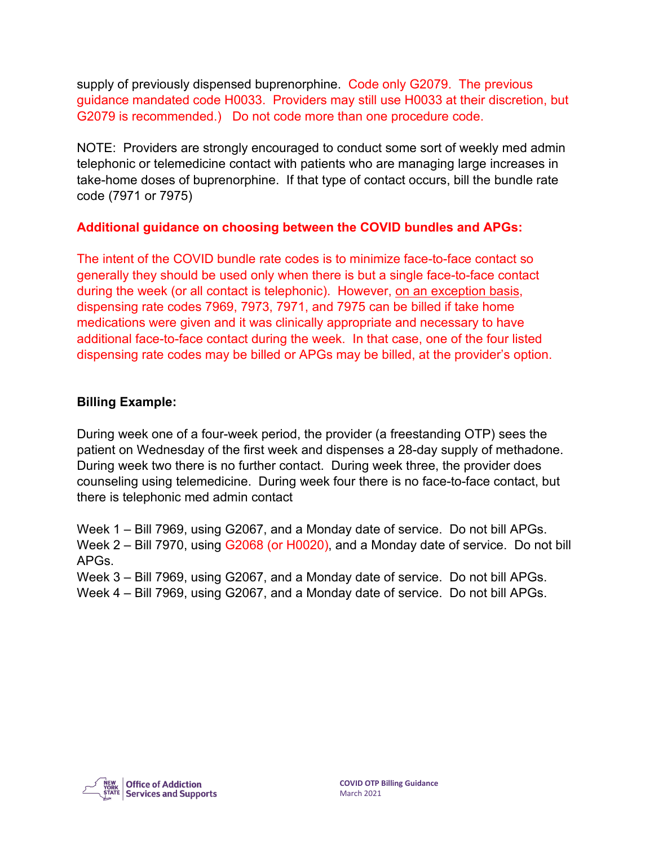supply of previously dispensed buprenorphine. Code only G2079. The previous guidance mandated code H0033. Providers may still use H0033 at their discretion, but G2079 is recommended.) Do not code more than one procedure code.

NOTE: Providers are strongly encouraged to conduct some sort of weekly med admin telephonic or telemedicine contact with patients who are managing large increases in take-home doses of buprenorphine. If that type of contact occurs, bill the bundle rate code (7971 or 7975)

#### **Additional guidance on choosing between the COVID bundles and APGs:**

The intent of the COVID bundle rate codes is to minimize face-to-face contact so generally they should be used only when there is but a single face-to-face contact during the week (or all contact is telephonic). However, on an exception basis, dispensing rate codes 7969, 7973, 7971, and 7975 can be billed if take home medications were given and it was clinically appropriate and necessary to have additional face-to-face contact during the week. In that case, one of the four listed dispensing rate codes may be billed or APGs may be billed, at the provider's option.

#### **Billing Example:**

During week one of a four-week period, the provider (a freestanding OTP) sees the patient on Wednesday of the first week and dispenses a 28-day supply of methadone. During week two there is no further contact. During week three, the provider does counseling using telemedicine. During week four there is no face-to-face contact, but there is telephonic med admin contact

Week 1 – Bill 7969, using G2067, and a Monday date of service. Do not bill APGs. Week 2 – Bill 7970, using G2068 (or H0020), and a Monday date of service. Do not bill APGs.

Week 3 – Bill 7969, using G2067, and a Monday date of service. Do not bill APGs. Week 4 – Bill 7969, using G2067, and a Monday date of service. Do not bill APGs.

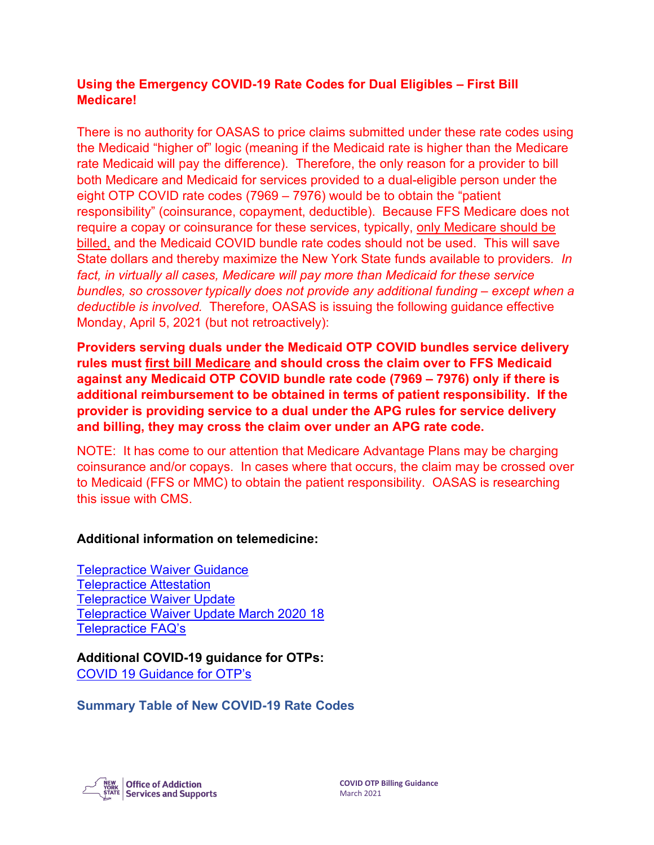#### **Using the Emergency COVID-19 Rate Codes for Dual Eligibles – First Bill Medicare!**

There is no authority for OASAS to price claims submitted under these rate codes using the Medicaid "higher of" logic (meaning if the Medicaid rate is higher than the Medicare rate Medicaid will pay the difference). Therefore, the only reason for a provider to bill both Medicare and Medicaid for services provided to a dual-eligible person under the eight OTP COVID rate codes (7969 – 7976) would be to obtain the "patient responsibility" (coinsurance, copayment, deductible). Because FFS Medicare does not require a copay or coinsurance for these services, typically, only Medicare should be billed, and the Medicaid COVID bundle rate codes should not be used. This will save State dollars and thereby maximize the New York State funds available to providers*. In fact, in virtually all cases, Medicare will pay more than Medicaid for these service bundles, so crossover typically does not provide any additional funding – except when a deductible is involved.* Therefore, OASAS is issuing the following guidance effective Monday, April 5, 2021 (but not retroactively):

**Providers serving duals under the Medicaid OTP COVID bundles service delivery rules must first bill Medicare and should cross the claim over to FFS Medicaid against any Medicaid OTP COVID bundle rate code (7969 – 7976) only if there is additional reimbursement to be obtained in terms of patient responsibility. If the provider is providing service to a dual under the APG rules for service delivery and billing, they may cross the claim over under an APG rate code.**

NOTE: It has come to our attention that Medicare Advantage Plans may be charging coinsurance and/or copays. In cases where that occurs, the claim may be crossed over to Medicaid (FFS or MMC) to obtain the patient responsibility. OASAS is researching this issue with CMS.

#### **Additional information on telemedicine:**

[Telepractice Waiver Guidance](https://oasas.ny.gov/telepractice-waiver-guidance)  [Telepractice Attestation](https://oasas.ny.gov/telepractice-attestation) [Telepractice Waiver Update](https://oasas.ny.gov/telepractice-waiver-update) [Telepractice Waiver Update March 2020 18](https://oasas.ny.gov/telepractice-waiver-update-31820)  [Telepractice FAQ's](https://oasas.ny.gov/telepractice-faqs)

**Additional COVID-19 guidance for OTPs:** [COVID 19 Guidance for OTP's](https://oasas.ny.gov/system/files/documents/2020/03/3-10-2020-covid-19-guidance-for-otp.pdf)

**Summary Table of New COVID-19 Rate Codes**